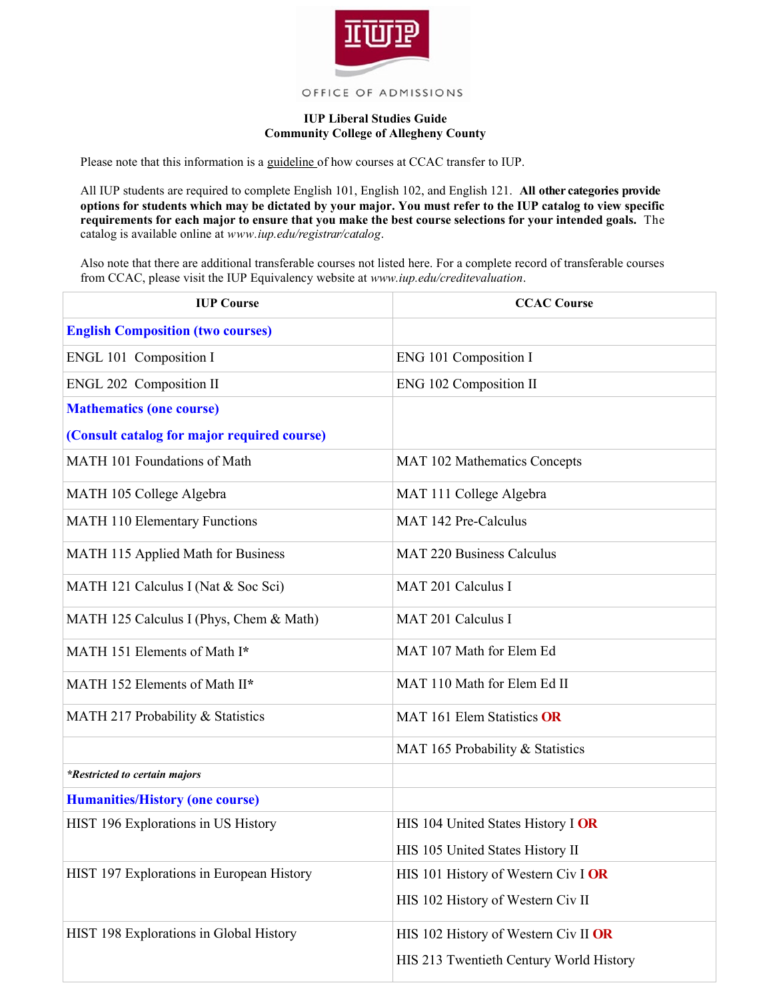

## OFFICE OF ADMISSIONS

## **IUP Liberal Studies Guide Community College of Allegheny County**

Please note that this information is a guideline of how courses at CCAC transfer to IUP.

All IUP students are required to complete English 101, English 102, and English 121. **All other categories provide options for students which may be dictated by your major. You must refer to the IUP catalog to view specific requirements for each major to ensure that you make the best course selections for your intended goals.** The catalog is available online at *www.iup.edu/registrar/catalog*.

Also note that there are additional transferable courses not listed here. For a complete record of transferable courses from CCAC, please visit the IUP Equivalency website at *www.iup.edu/creditevaluation*.

| <b>IUP Course</b>                           | <b>CCAC Course</b>                      |
|---------------------------------------------|-----------------------------------------|
| <b>English Composition (two courses)</b>    |                                         |
| ENGL 101 Composition I                      | ENG 101 Composition I                   |
| ENGL 202 Composition II                     | ENG 102 Composition II                  |
| <b>Mathematics (one course)</b>             |                                         |
| (Consult catalog for major required course) |                                         |
| MATH 101 Foundations of Math                | <b>MAT 102 Mathematics Concepts</b>     |
| MATH 105 College Algebra                    | MAT 111 College Algebra                 |
| <b>MATH 110 Elementary Functions</b>        | MAT 142 Pre-Calculus                    |
| MATH 115 Applied Math for Business          | <b>MAT 220 Business Calculus</b>        |
| MATH 121 Calculus I (Nat & Soc Sci)         | MAT 201 Calculus I                      |
| MATH 125 Calculus I (Phys, Chem & Math)     | MAT 201 Calculus I                      |
| MATH 151 Elements of Math I*                | MAT 107 Math for Elem Ed                |
| MATH 152 Elements of Math II*               | MAT 110 Math for Elem Ed II             |
| MATH 217 Probability & Statistics           | MAT 161 Elem Statistics OR              |
|                                             | MAT 165 Probability & Statistics        |
| <i>*Restricted to certain majors</i>        |                                         |
| <b>Humanities/History (one course)</b>      |                                         |
| HIST 196 Explorations in US History         | HIS 104 United States History I OR      |
|                                             | HIS 105 United States History II        |
| HIST 197 Explorations in European History   | HIS 101 History of Western Civ I OR     |
|                                             | HIS 102 History of Western Civ II       |
| HIST 198 Explorations in Global History     | HIS 102 History of Western Civ II OR    |
|                                             | HIS 213 Twentieth Century World History |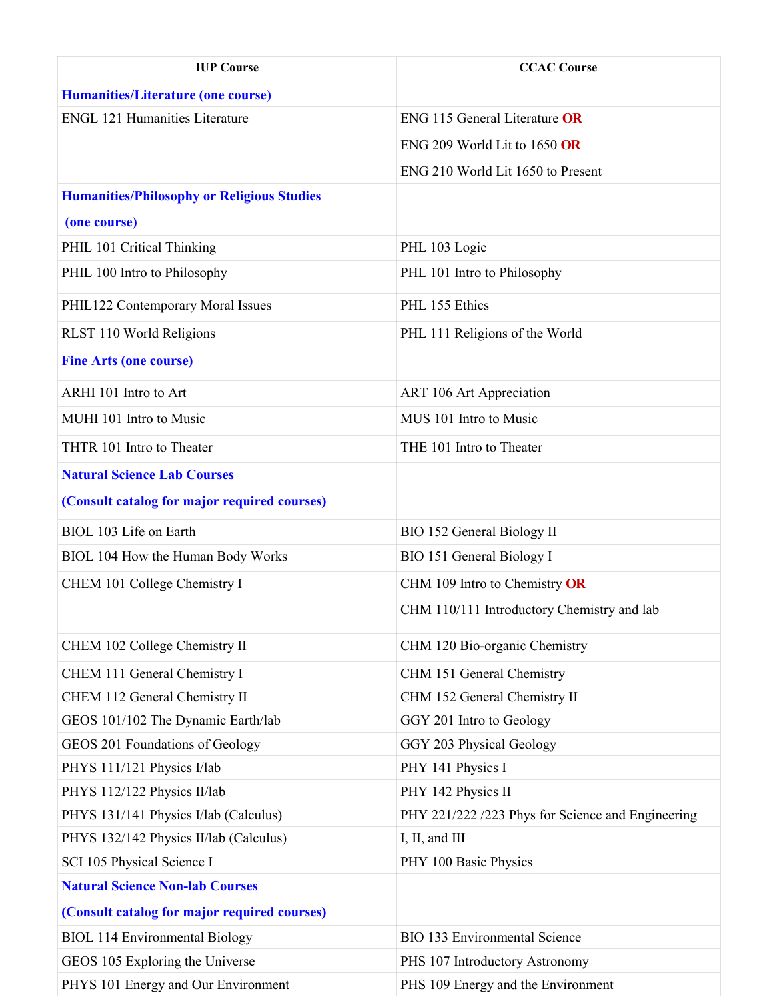| <b>IUP Course</b>                                 | <b>CCAC Course</b>                                |
|---------------------------------------------------|---------------------------------------------------|
| <b>Humanities/Literature (one course)</b>         |                                                   |
| <b>ENGL 121 Humanities Literature</b>             | <b>ENG 115 General Literature OR</b>              |
|                                                   | ENG 209 World Lit to 1650 OR                      |
|                                                   | ENG 210 World Lit 1650 to Present                 |
| <b>Humanities/Philosophy or Religious Studies</b> |                                                   |
| (one course)                                      |                                                   |
| PHIL 101 Critical Thinking                        | PHL 103 Logic                                     |
| PHIL 100 Intro to Philosophy                      | PHL 101 Intro to Philosophy                       |
|                                                   |                                                   |
| PHIL122 Contemporary Moral Issues                 | PHL 155 Ethics                                    |
| RLST 110 World Religions                          | PHL 111 Religions of the World                    |
| <b>Fine Arts (one course)</b>                     |                                                   |
| ARHI 101 Intro to Art                             | ART 106 Art Appreciation                          |
| MUHI 101 Intro to Music                           | MUS 101 Intro to Music                            |
| THTR 101 Intro to Theater                         | THE 101 Intro to Theater                          |
| <b>Natural Science Lab Courses</b>                |                                                   |
| (Consult catalog for major required courses)      |                                                   |
| BIOL 103 Life on Earth                            | <b>BIO 152 General Biology II</b>                 |
| BIOL 104 How the Human Body Works                 | BIO 151 General Biology I                         |
| CHEM 101 College Chemistry I                      | CHM 109 Intro to Chemistry OR                     |
|                                                   | CHM 110/111 Introductory Chemistry and lab        |
| CHEM 102 College Chemistry II                     | CHM 120 Bio-organic Chemistry                     |
| CHEM 111 General Chemistry I                      | CHM 151 General Chemistry                         |
| CHEM 112 General Chemistry II                     | CHM 152 General Chemistry II                      |
| GEOS 101/102 The Dynamic Earth/lab                | GGY 201 Intro to Geology                          |
| GEOS 201 Foundations of Geology                   | GGY 203 Physical Geology                          |
| PHYS 111/121 Physics I/lab                        | PHY 141 Physics I                                 |
| PHYS 112/122 Physics II/lab                       | PHY 142 Physics II                                |
| PHYS 131/141 Physics I/lab (Calculus)             | PHY 221/222 /223 Phys for Science and Engineering |
| PHYS 132/142 Physics II/lab (Calculus)            | I, II, and III                                    |
| SCI 105 Physical Science I                        | PHY 100 Basic Physics                             |
| <b>Natural Science Non-lab Courses</b>            |                                                   |
| (Consult catalog for major required courses)      |                                                   |
| <b>BIOL 114 Environmental Biology</b>             | <b>BIO 133 Environmental Science</b>              |
| GEOS 105 Exploring the Universe                   | PHS 107 Introductory Astronomy                    |
| PHYS 101 Energy and Our Environment               | PHS 109 Energy and the Environment                |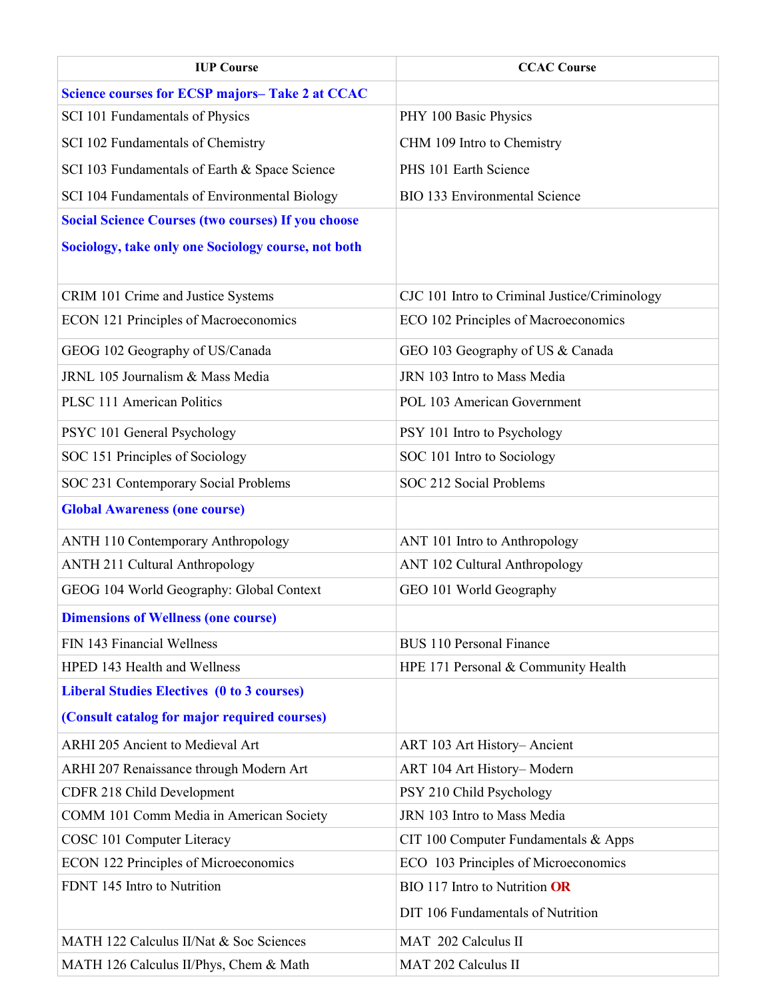| <b>IUP Course</b>                                         | <b>CCAC Course</b>                            |
|-----------------------------------------------------------|-----------------------------------------------|
| <b>Science courses for ECSP majors-Take 2 at CCAC</b>     |                                               |
| SCI 101 Fundamentals of Physics                           | PHY 100 Basic Physics                         |
| SCI 102 Fundamentals of Chemistry                         | CHM 109 Intro to Chemistry                    |
| SCI 103 Fundamentals of Earth & Space Science             | PHS 101 Earth Science                         |
| SCI 104 Fundamentals of Environmental Biology             | <b>BIO 133 Environmental Science</b>          |
| <b>Social Science Courses (two courses) If you choose</b> |                                               |
| Sociology, take only one Sociology course, not both       |                                               |
|                                                           |                                               |
| CRIM 101 Crime and Justice Systems                        | CJC 101 Intro to Criminal Justice/Criminology |
| <b>ECON 121 Principles of Macroeconomics</b>              | ECO 102 Principles of Macroeconomics          |
| GEOG 102 Geography of US/Canada                           | GEO 103 Geography of US & Canada              |
| JRNL 105 Journalism & Mass Media                          | JRN 103 Intro to Mass Media                   |
| <b>PLSC 111 American Politics</b>                         | POL 103 American Government                   |
| PSYC 101 General Psychology                               | PSY 101 Intro to Psychology                   |
| SOC 151 Principles of Sociology                           | SOC 101 Intro to Sociology                    |
| SOC 231 Contemporary Social Problems                      | SOC 212 Social Problems                       |
| <b>Global Awareness (one course)</b>                      |                                               |
| <b>ANTH 110 Contemporary Anthropology</b>                 | ANT 101 Intro to Anthropology                 |
| <b>ANTH 211 Cultural Anthropology</b>                     | ANT 102 Cultural Anthropology                 |
| GEOG 104 World Geography: Global Context                  | GEO 101 World Geography                       |
| <b>Dimensions of Wellness (one course)</b>                |                                               |
| FIN 143 Financial Wellness                                | <b>BUS 110 Personal Finance</b>               |
| HPED 143 Health and Wellness                              | HPE 171 Personal & Community Health           |
| <b>Liberal Studies Electives (0 to 3 courses)</b>         |                                               |
| (Consult catalog for major required courses)              |                                               |
| ARHI 205 Ancient to Medieval Art                          | ART 103 Art History-Ancient                   |
| ARHI 207 Renaissance through Modern Art                   | ART 104 Art History-Modern                    |
| CDFR 218 Child Development                                | PSY 210 Child Psychology                      |
| COMM 101 Comm Media in American Society                   | JRN 103 Intro to Mass Media                   |
| COSC 101 Computer Literacy                                | CIT 100 Computer Fundamentals & Apps          |
| <b>ECON 122 Principles of Microeconomics</b>              | ECO 103 Principles of Microeconomics          |
| FDNT 145 Intro to Nutrition                               | BIO 117 Intro to Nutrition OR                 |
|                                                           | DIT 106 Fundamentals of Nutrition             |
| MATH 122 Calculus II/Nat & Soc Sciences                   | MAT 202 Calculus II                           |
| MATH 126 Calculus II/Phys, Chem & Math                    | MAT 202 Calculus II                           |